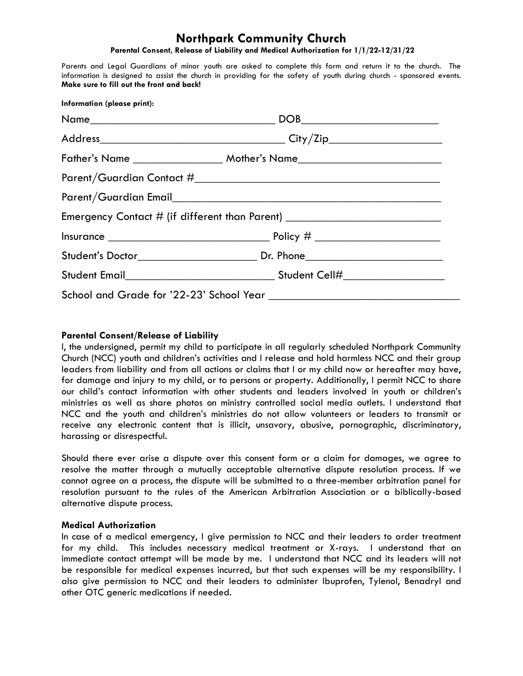## **Northpark Community Church**

**Parental Consent, Release of Liability and Medical Authorization for 1/1/22-12/31/22**

Parents and Legal Guardians of minor youth are asked to complete this form and return it to the church. The information is designed to assist the church in providing for the safety of youth during church - sponsored events. **Make sure to fill out the front and back!**

| Information (please print): |                                                                                  |  |
|-----------------------------|----------------------------------------------------------------------------------|--|
|                             |                                                                                  |  |
|                             |                                                                                  |  |
|                             |                                                                                  |  |
|                             |                                                                                  |  |
|                             |                                                                                  |  |
|                             | Emergency Contact # (if different than Parent) _________________________________ |  |
|                             |                                                                                  |  |
|                             |                                                                                  |  |
|                             |                                                                                  |  |
|                             |                                                                                  |  |
|                             |                                                                                  |  |

## **Parental Consent/Release of Liability**

I, the undersigned, permit my child to participate in all regularly scheduled Northpark Community Church (NCC) youth and children's activities and I release and hold harmless NCC and their group leaders from liability and from all actions or claims that I or my child now or hereafter may have, for damage and injury to my child, or to persons or property. Additionally, I permit NCC to share our child's contact information with other students and leaders involved in youth or children's ministries as well as share photos on ministry controlled social media outlets. I understand that NCC and the youth and children's ministries do not allow volunteers or leaders to transmit or receive any electronic content that is illicit, unsavory, abusive, pornographic, discriminatory, harassing or disrespectful.

Should there ever arise a dispute over this consent form or a claim for damages, we agree to resolve the matter through a mutually acceptable alternative dispute resolution process. If we cannot agree on a process, the dispute will be submitted to a three-member arbitration panel for resolution pursuant to the rules of the American Arbitration Association or a biblically-based alternative dispute process.

## **Medical Authorization**

In case of a medical emergency, I give permission to NCC and their leaders to order treatment for my child. This includes necessary medical treatment or X-rays. I understand that an immediate contact attempt will be made by me. I understand that NCC and its leaders will not be responsible for medical expenses incurred, but that such expenses will be my responsibility. I also give permission to NCC and their leaders to administer Ibuprofen, Tylenol, Benadryl and other OTC generic medications if needed.